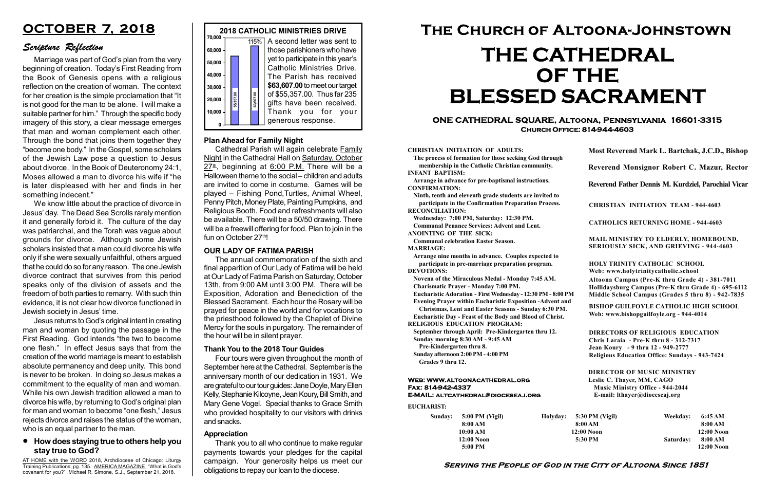#### Serving the People of God in the City of Altoona Since 1851

| Sunday: 5:00 PM (Vigil) |  |
|-------------------------|--|
| 8:00 AM                 |  |
| 10:00 AM                |  |
| $12:00$ Noon            |  |
| 5:00 PM                 |  |

Holyday:

#### Web: www.altoonacathedral.org Fax: 814-942-4337 E-MAIL: altcathedral@dioceseaj.org

EUCHARIST:

#### CHRISTIAN INITIATION OF ADULTS:

The process of formation for those seeking God through membership in the Catholic Christian community. INFANT BAPTISM:

Arrange in advance for pre-baptismal instructions. CONFIRMATION:

Ninth, tenth and eleventh grade students are invited to participate in the Confirmation Preparation Process. RECONCILIATION:

Wednesday: 7:00 PM, Saturday: 12:30 PM. Communal Penance Services: Advent and Lent.

ANOINTING OF THE SICK:

Communal celebration Easter Season. MARRIAGE:

Arrange nine months in advance. Couples expected to participate in pre-marriage preparation program. DEVOTIONS:

Novena of the Miraculous Medal - Monday 7:45 AM.

Charismatic Prayer - Monday 7:00 PM. Eucharistic Adoration - First Wednesday - 12:30 PM - 8:00 PM

Evening Prayer within Eucharistic Exposition -Advent and

Christmas, Lent and Easter Seasons - Sunday 6:30 PM.

|                         | Most Reverend Mark L. Bartchak, J.C.D., Bishop                                                                                                                                  |           |                         |  |  |
|-------------------------|---------------------------------------------------------------------------------------------------------------------------------------------------------------------------------|-----------|-------------------------|--|--|
|                         | Reverend Monsignor Robert C. Mazur, Rector                                                                                                                                      |           |                         |  |  |
|                         | Reverend Father Dennis M. Kurdziel, Parochial Vicar                                                                                                                             |           |                         |  |  |
|                         | <b>CHRISTIAN INITIATION TEAM - 944-4603</b>                                                                                                                                     |           |                         |  |  |
|                         | <b>CATHOLICS RETURNING HOME - 944-4603</b>                                                                                                                                      |           |                         |  |  |
|                         | MAIL MINISTRY TO ELDERLY, HOMEBOUND,<br><b>SERIOUSLY SICK, AND GRIEVING - 944-4603</b>                                                                                          |           |                         |  |  |
|                         | <b>HOLY TRINITY CATHOLIC SCHOOL</b><br>Web: www.holytrinitycatholic.school                                                                                                      |           |                         |  |  |
| М                       | Altoona Campus (Pre-K thru Grade 4) - 381-7011<br>Hollidaysburg Campus (Pre-K thru Grade 4) - 695-6112<br>Middle School Campus (Grades 5 thru 8) - 942-7835                     |           |                         |  |  |
| ł                       | <b>BISHOP GUILFOYLE CATHOLIC HIGH SCHOOL</b><br>Web: www.bishopguilfoyle.org - 944-4014                                                                                         |           |                         |  |  |
|                         | <b>DIRECTORS OF RELIGIOUS EDUCATION</b><br>Chris Laraia - Pre-K thru 8 - 312-7317<br>Jean Koury - 9 thru 12 - 949-2777<br><b>Religious Education Office: Sundays - 943-7424</b> |           |                         |  |  |
|                         | <b>DIRECTOR OF MUSIC MINISTRY</b><br>Leslie C. Thayer, MM, CAGO<br><b>Music Ministry Office - 944-2044</b><br>E-mail: lthayer@dioceseaj.org                                     |           |                         |  |  |
| 5:30 PM (Vigil)         |                                                                                                                                                                                 | Weekday:  | 6:45 AM                 |  |  |
| 8:00 AM<br>$12:00$ Noon |                                                                                                                                                                                 |           | 8:00 AM<br>12:00 Noon   |  |  |
|                         | 5:30 PM                                                                                                                                                                         | Saturday: | 8:00 AM<br>$12:00$ Noon |  |  |
|                         |                                                                                                                                                                                 |           |                         |  |  |

Eucharistic Day - Feast of the Body and Blood of Christ.

RELIGIOUS EDUCATION PROGRAM:

September through April: Pre-Kindergarten thru 12. Sunday morning 8:30 AM - 9:45 AM



Pre-Kindergarten thru 8.

Sunday afternoon 2:00 PM - 4:00 PM Grades 9 thru 12.

Cathedral Parish will again celebrate Family Night in the Cathedral Hall on Saturday, October  $27^{\underline{\text{th}}}$ , beginning at 6:00 P.M. There will be a Halloween theme to the social – children and adults are invited to come in costume. Games will be played – Fishing Pond,Turtles, Animal Wheel, Penny Pitch, Money Plate, Painting Pumpkins, and Religious Booth. Food and refreshments will also be available. There will be a 50/50 drawing. There will be a freewill offering for food. Plan to join in the fun on October 27th!

#### ONE CATHEDRAL SQUARE, Altoona, Pennsylvania 16601-3315 Church Office: 814-944-4603

# The Church of Altoona-Johnstown THE CATHEDRAL OF THE BLESSED SACRAMENT

#### OUR LADY OF FATIMA PARISH

AT HOME with the WORD 2018, Archdiocese of Chicago: Liturgy Training Publications, pg. 135. AMERICA MAGAZINE, "What is God's covenant for you?" Michael R. Simone, S.J., September 21, 2018.

The annual commemoration of the sixth and final apparition of Our Lady of Fatima will be held at Our Lady of Fatima Parish on Saturday, October 13th, from 9:00 AM until 3:00 PM. There will be Exposition, Adoration and Benediction of the Blessed Sacrament. Each hour the Rosary will be prayed for peace in the world and for vocations to the priesthood followed by the Chaplet of Divine Mercy for the souls in purgatory. The remainder of the hour will be in silent prayer.

#### Plan Ahead for Family Night

### How does staying true to others help you stay true to God?

# OCTOBER 7, 2018

# Scripture Reflection

Marriage was part of God's plan from the very beginning of creation. Today's First Reading from the Book of Genesis opens with a religious reflection on the creation of woman. The context for her creation is the simple proclamation that "It is not good for the man to be alone. I will make a suitable partner for him." Through the specific body imagery of this story, a clear message emerges that man and woman complement each other. Through the bond that joins them together they "become one body." In the Gospel, some scholars of the Jewish Law pose a question to Jesus about divorce. In the Book of Deuteronomy 24:1, Moses allowed a man to divorce his wife if "he is later displeased with her and finds in her something indecent."

We know little about the practice of divorce in Jesus' day. The Dead Sea Scrolls rarely mention it and generally forbid it. The culture of the day was patriarchal, and the Torah was vague about grounds for divorce. Although some Jewish scholars insisted that a man could divorce his wife only if she were sexually unfaithful, others argued that he could do so for any reason. The one Jewish divorce contract that survives from this period speaks only of the division of assets and the freedom of both parties to remarry. With such thin evidence, it is not clear how divorce functioned in Jewish society in Jesus' time.

Jesus returns to God's original intent in creating man and woman by quoting the passage in the First Reading. God intends "the two to become one flesh." In effect Jesus says that from the creation of the world marriage is meant to establish absolute permanency and deep unity. This bond is never to be broken. In doing so Jesus makes a commitment to the equality of man and woman. While his own Jewish tradition allowed a man to divorce his wife, by returning to God's original plan for man and woman to become "one flesh," Jesus rejects divorce and raises the status of the woman, who is an equal partner to the man.

#### Thank You to the 2018 Tour Guides

Four tours were given throughout the month of September here at the Cathedral. September is the anniversary month of our dedication in 1931. We are grateful to our tour guides: Jane Doyle, Mary Ellen Kelly, Stephanie Kilcoyne, Jean Koury, Bill Smith, and Mary Gene Vogel. Special thanks to Grace Smith who provided hospitality to our visitors with drinks and snacks.

#### Appreciation

Thank you to all who continue to make regular payments towards your pledges for the capital campaign. Your generosity helps us meet our obligations to repay our loan to the diocese.